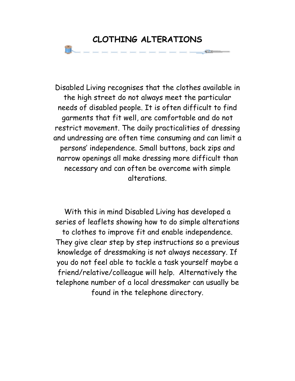# **CLOTHING ALTERATIONS**

Disabled Living recognises that the clothes available in the high street do not always meet the particular needs of disabled people. It is often difficult to find garments that fit well, are comfortable and do not restrict movement. The daily practicalities of dressing and undressing are often time consuming and can limit a persons' independence. Small buttons, back zips and narrow openings all make dressing more difficult than necessary and can often be overcome with simple alterations.

With this in mind Disabled Living has developed a series of leaflets showing how to do simple alterations to clothes to improve fit and enable independence. They give clear step by step instructions so a previous knowledge of dressmaking is not always necessary. If you do not feel able to tackle a task yourself maybe a friend/relative/colleague will help. Alternatively the telephone number of a local dressmaker can usually be found in the telephone directory.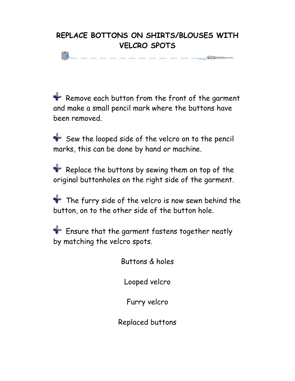## **REPLACE BOTTONS ON SHIRTS/BLOUSES WITH VELCRO SPOTS**

Æ

Remove each button from the front of the garment and make a small pencil mark where the buttons have been removed.

 $\blacklozenge$  Sew the looped side of the velcro on to the pencil marks, this can be done by hand or machine.

 $\blacklozenge$  Replace the buttons by sewing them on top of the original buttonholes on the right side of the garment.

 $\triangleq$  The furry side of the velcro is now sewn behind the button, on to the other side of the button hole.

Ensure that the garment fastens together neatly by matching the velcro spots.

Buttons & holes

Looped velcro

Furry velcro

Replaced buttons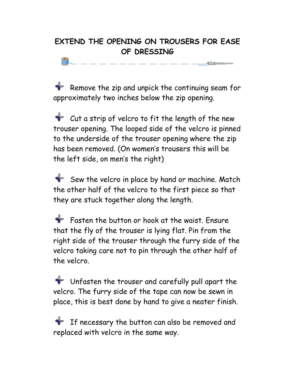### **EXTEND THE OPENING ON TROUSERS FOR EASE OF DRESSING**

 $\sim$ 

**Remove the zip and unpick the continuing seam for** approximately two inches below the zip opening.

 $\bullet$  Cut a strip of velcro to fit the length of the new trouser opening. The looped side of the velcro is pinned to the underside of the trouser opening where the zip has been removed. (On women's trousers this will be the left side, on men's the right)

Sew the velcro in place by hand or machine. Match the other half of the velcro to the first piece so that they are stuck together along the length.

 $\bullet$  Fasten the button or hook at the waist. Fnsure that the fly of the trouser is lying flat. Pin from the right side of the trouser through the furry side of the velcro taking care not to pin through the other half of the velcro.

Unfasten the trouser and carefully pull apart the velcro. The furry side of the tape can now be sewn in place, this is best done by hand to give a neater finish.

 $\frac{1}{\sqrt{2}}$  If necessary the button can also be removed and replaced with velcro in the same way.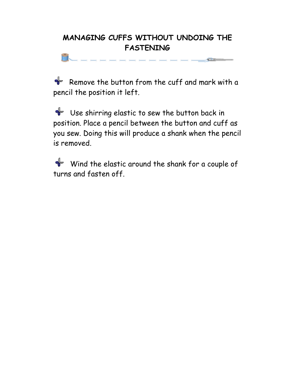### **MANAGING CUFFS WITHOUT UNDOING THE FASTENING**

Remove the button from the cuff and mark with a pencil the position it left.

a sa

 $\triangleleft$  Use shirring elastic to sew the button back in position. Place a pencil between the button and cuff as you sew. Doing this will produce a shank when the pencil is removed.

Wind the elastic around the shank for a couple of turns and fasten off.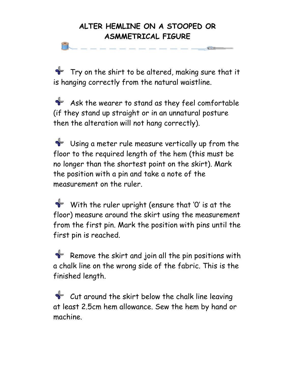#### **ALTER HEMLINE ON A STOOPED OR ASMMETRICAL FIGURE**

 $\blacklozenge$  Try on the shirt to be altered, making sure that it is hanging correctly from the natural waistline.

Ask the wearer to stand as they feel comfortable (if they stand up straight or in an unnatural posture then the alteration will not hang correctly).

Using a meter rule measure vertically up from the floor to the required length of the hem (this must be no longer than the shortest point on the skirt). Mark the position with a pin and take a note of the measurement on the ruler.

 $\blacklozenge$  With the ruler upright (ensure that 'O' is at the floor) measure around the skirt using the measurement from the first pin. Mark the position with pins until the first pin is reached.

Remove the skirt and join all the pin positions with a chalk line on the wrong side of the fabric. This is the finished length.

 $\bullet$  Cut around the skirt below the chalk line leaving at least 2.5cm hem allowance. Sew the hem by hand or machine.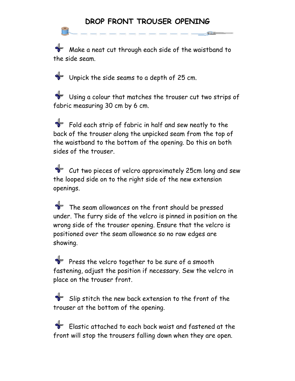#### **DROP FRONT TROUSER OPENING**

 $\frac{1}{\sqrt{2}}$  Make a neat cut through each side of the waistband to the side seam.

Unpick the side seams to a depth of 25 cm.

Using a colour that matches the trouser cut two strips of fabric measuring 30 cm by 6 cm.

 $\blacklozenge$  Fold each strip of fabric in half and sew neatly to the back of the trouser along the unpicked seam from the top of the waistband to the bottom of the opening. Do this on both sides of the trouser.

Cut two pieces of velcro approximately 25cm long and sew the looped side on to the right side of the new extension openings.

The seam allowances on the front should be pressed under. The furry side of the velcro is pinned in position on the wrong side of the trouser opening. Ensure that the velcro is positioned over the seam allowance so no raw edges are showing.

Press the velcro together to be sure of a smooth fastening, adjust the position if necessary. Sew the velcro in place on the trouser front.

 $\blacklozenge$  Slip stitch the new back extension to the front of the trouser at the bottom of the opening.

 $\blacklozenge$  Elastic attached to each back waist and fastened at the front will stop the trousers falling down when they are open.